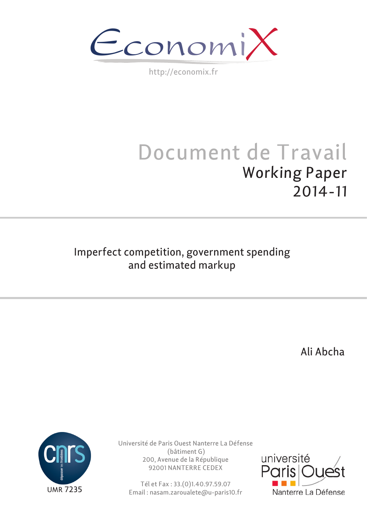$\epsilon$ conomi)

http://economix.fr

# Document de Travail Working Paper 2014-11

# Imperfect competition, government spending and estimated markup

Ali Abcha



Université de Paris Ouest Nanterre La Défense (bâtiment G) 200, Avenue de la République 92001 NANTERRE CEDEX

Tél et Fax : 33.(0)1.40.97.59.07 Email : nasam.zaroualete@u-paris10.fr

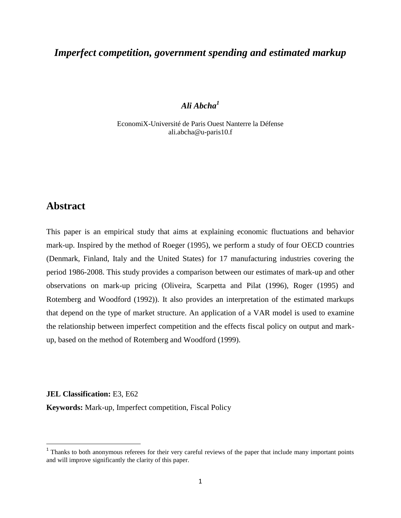# *Imperfect competition, government spending and estimated markup*

# *Ali Abcha<sup>1</sup>*

EconomiX-Université de Paris Ouest Nanterre la Défense ali.abcha@u-paris10.f

# **Abstract**

This paper is an empirical study that aims at explaining economic fluctuations and behavior mark-up. Inspired by the method of Roeger (1995), we perform a study of four OECD countries (Denmark, Finland, Italy and the United States) for 17 manufacturing industries covering the period 1986-2008. This study provides a comparison between our estimates of mark-up and other observations on mark-up pricing (Oliveira, Scarpetta and Pilat (1996), Roger (1995) and Rotemberg and Woodford (1992)). It also provides an interpretation of the estimated markups that depend on the type of market structure. An application of a VAR model is used to examine the relationship between imperfect competition and the effects fiscal policy on output and markup, based on the method of Rotemberg and Woodford (1999).

**JEL Classification:** E3, E62

 $\overline{a}$ 

**Keywords:** Mark-up, Imperfect competition, Fiscal Policy

 $1$  Thanks to both anonymous referees for their very careful reviews of the paper that include many important points and will improve significantly the clarity of this paper.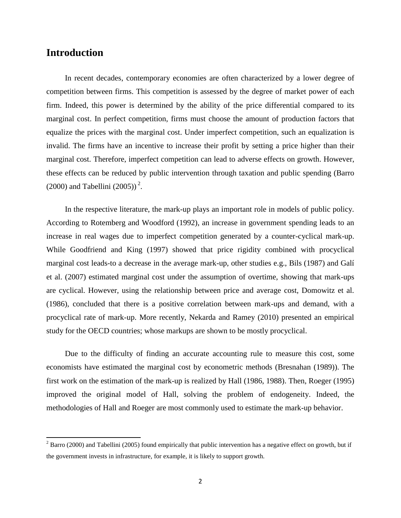# **Introduction**

 $\overline{a}$ 

In recent decades, contemporary economies are often characterized by a lower degree of competition between firms. This competition is assessed by the degree of market power of each firm. Indeed, this power is determined by the ability of the price differential compared to its marginal cost. In perfect competition, firms must choose the amount of production factors that equalize the prices with the marginal cost. Under imperfect competition, such an equalization is invalid. The firms have an incentive to increase their profit by setting a price higher than their marginal cost. Therefore, imperfect competition can lead to adverse effects on growth. However, these effects can be reduced by public intervention through taxation and public spending (Barro  $(2000)$  and Tabellini  $(2005))^2$ .

In the respective literature, the mark-up plays an important role in models of public policy. According to Rotemberg and Woodford (1992), an increase in government spending leads to an increase in real wages due to imperfect competition generated by a counter-cyclical mark-up. While Goodfriend and King (1997) showed that price rigidity combined with procyclical marginal cost leads-to a decrease in the average mark-up, other studies e.g., Bils (1987) and Galí et al. (2007) estimated marginal cost under the assumption of overtime, showing that mark-ups are cyclical. However, using the relationship between price and average cost, Domowitz et al. (1986), concluded that there is a positive correlation between mark-ups and demand, with a procyclical rate of mark-up. More recently, Nekarda and Ramey (2010) presented an empirical study for the OECD countries; whose markups are shown to be mostly procyclical.

Due to the difficulty of finding an accurate accounting rule to measure this cost, some economists have estimated the marginal cost by econometric methods (Bresnahan (1989)). The first work on the estimation of the mark-up is realized by Hall (1986, 1988). Then, Roeger (1995) improved the original model of Hall, solving the problem of endogeneity. Indeed, the methodologies of Hall and Roeger are most commonly used to estimate the mark-up behavior.

 $2^2$  Barro (2000) and Tabellini (2005) found empirically that public intervention has a negative effect on growth, but if the government invests in infrastructure, for example, it is likely to support growth.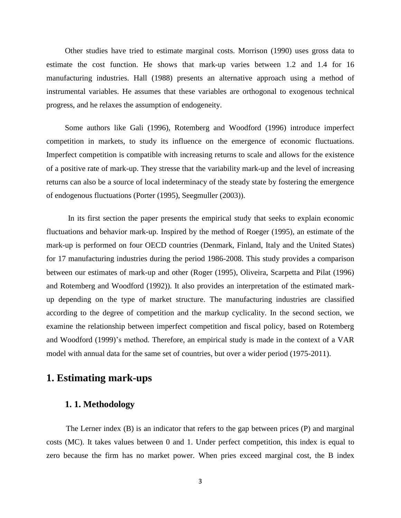Other studies have tried to estimate marginal costs. Morrison (1990) uses gross data to estimate the cost function. He shows that mark-up varies between 1.2 and 1.4 for 16 manufacturing industries. Hall (1988) presents an alternative approach using a method of instrumental variables. He assumes that these variables are orthogonal to exogenous technical progress, and he relaxes the assumption of endogeneity.

Some authors like Gali (1996), Rotemberg and Woodford (1996) introduce imperfect competition in markets, to study its influence on the emergence of economic fluctuations. Imperfect competition is compatible with increasing returns to scale and allows for the existence of a positive rate of mark-up. They stresse that the variability mark-up and the level of increasing returns can also be a source of local indeterminacy of the steady state by fostering the emergence of endogenous fluctuations (Porter (1995), Seegmuller (2003)).

 In its first section the paper presents the empirical study that seeks to explain economic fluctuations and behavior mark-up. Inspired by the method of Roeger (1995), an estimate of the mark-up is performed on four OECD countries (Denmark, Finland, Italy and the United States) for 17 manufacturing industries during the period 1986-2008. This study provides a comparison between our estimates of mark-up and other (Roger (1995), Oliveira, Scarpetta and Pilat (1996) and Rotemberg and Woodford (1992)). It also provides an interpretation of the estimated markup depending on the type of market structure. The manufacturing industries are classified according to the degree of competition and the markup cyclicality. In the second section, we examine the relationship between imperfect competition and fiscal policy, based on Rotemberg and Woodford (1999)'s method. Therefore, an empirical study is made in the context of a VAR model with annual data for the same set of countries, but over a wider period (1975-2011).

# **1. Estimating mark-ups**

# **1. 1. Methodology**

The Lerner index (B) is an indicator that refers to the gap between prices (P) and marginal costs (MC). It takes values between 0 and 1. Under perfect competition, this index is equal to zero because the firm has no market power. When pries exceed marginal cost, the B index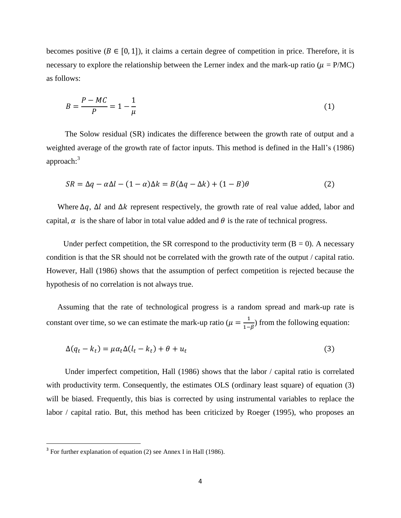becomes positive  $(B \in [0, 1])$ , it claims a certain degree of competition in price. Therefore, it is necessary to explore the relationship between the Lerner index and the mark-up ratio ( $\mu = P/MC$ ) as follows:

$$
B = \frac{P - MC}{P} = 1 - \frac{1}{\mu}
$$
 (1)

The Solow residual (SR) indicates the difference between the growth rate of output and a weighted average of the growth rate of factor inputs. This method is defined in the Hall's (1986) approach: $3$ 

$$
SR = \Delta q - \alpha \Delta l - (1 - \alpha)\Delta k = B(\Delta q - \Delta k) + (1 - B)\theta
$$
\n(2)

Where  $\Delta q$ ,  $\Delta l$  and  $\Delta k$  represent respectively, the growth rate of real value added, labor and capital,  $\alpha$  is the share of labor in total value added and  $\theta$  is the rate of technical progress.

Under perfect competition, the SR correspond to the productivity term  $(B = 0)$ . A necessary condition is that the SR should not be correlated with the growth rate of the output / capital ratio. However, Hall (1986) shows that the assumption of perfect competition is rejected because the hypothesis of no correlation is not always true.

Assuming that the rate of technological progress is a random spread and mark-up rate is constant over time, so we can estimate the mark-up ratio ( $\mu = \frac{1}{4}$ )  $\frac{1}{1-\beta}$ ) from the following equation:

$$
\Delta(q_t - k_t) = \mu \alpha_t \Delta(l_t - k_t) + \theta + u_t \tag{3}
$$

Under imperfect competition, Hall (1986) shows that the labor / capital ratio is correlated with productivity term. Consequently, the estimates OLS (ordinary least square) of equation (3) will be biased. Frequently, this bias is corrected by using instrumental variables to replace the labor / capital ratio. But, this method has been criticized by Roeger (1995), who proposes an

<sup>&</sup>lt;sup>3</sup> For further explanation of equation (2) see Annex I in Hall (1986).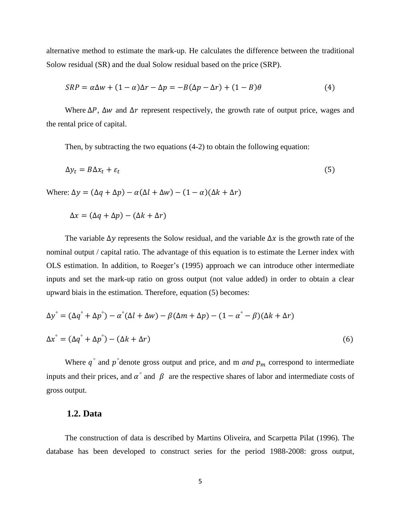alternative method to estimate the mark-up. He calculates the difference between the traditional Solow residual (SR) and the dual Solow residual based on the price (SRP).

$$
SRP = \alpha \Delta w + (1 - \alpha)\Delta r - \Delta p = -B(\Delta p - \Delta r) + (1 - B)\theta
$$
\n(4)

Where  $\Delta P$ ,  $\Delta w$  and  $\Delta r$  represent respectively, the growth rate of output price, wages and the rental price of capital.

Then, by subtracting the two equations (4-2) to obtain the following equation:

$$
\Delta y_t = B \Delta x_t + \varepsilon_t \tag{5}
$$

Where:  $\Delta y = (\Delta q + \Delta p) - \alpha(\Delta l + \Delta w) - (1 - \alpha)(\Delta k + \Delta r)$ 

$$
\Delta x = (\Delta q + \Delta p) - (\Delta k + \Delta r)
$$

The variable  $\Delta y$  represents the Solow residual, and the variable  $\Delta x$  is the growth rate of the nominal output / capital ratio. The advantage of this equation is to estimate the Lerner index with OLS estimation. In addition, to Roeger's (1995) approach we can introduce other intermediate inputs and set the mark-up ratio on gross output (not value added) in order to obtain a clear upward biais in the estimation. Therefore, equation (5) becomes:

$$
\Delta y^{\circ} = (\Delta q^{\circ} + \Delta p^{\circ}) - \alpha^{\circ} (\Delta l + \Delta w) - \beta (\Delta m + \Delta p) - (1 - \alpha^{\circ} - \beta)(\Delta k + \Delta r)
$$
  

$$
\Delta x^{\circ} = (\Delta q^{\circ} + \Delta p^{\circ}) - (\Delta k + \Delta r)
$$
 (6)

Where  $q^{\circ}$  and  $p^{\circ}$  denote gross output and price, and m *and*  $p_m$  correspond to intermediate inputs and their prices, and  $\alpha^{\circ}$  and  $\beta$  are the respective shares of labor and intermediate costs of gross output.

#### **1.2. Data**

The construction of data is described by Martins Oliveira, and Scarpetta Pilat (1996). The database has been developed to construct series for the period 1988-2008: gross output,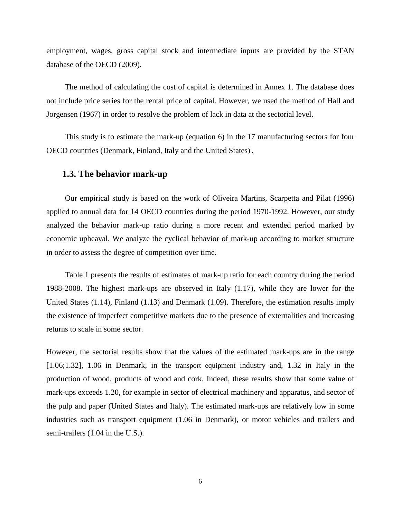employment, wages, gross capital stock and intermediate inputs are provided by the STAN database of the OECD (2009).

The method of calculating the cost of capital is determined in Annex 1. The database does not include price series for the rental price of capital. However, we used the method of Hall and Jorgensen (1967) in order to resolve the problem of lack in data at the sectorial level.

This study is to estimate the mark-up (equation 6) in the 17 manufacturing sectors for four OECD countries (Denmark, Finland, Italy and the United States) .

## **1.3. The behavior mark-up**

Our empirical study is based on the work of Oliveira Martins, Scarpetta and Pilat (1996) applied to annual data for 14 OECD countries during the period 1970-1992. However, our study analyzed the behavior mark-up ratio during a more recent and extended period marked by economic upheaval. We analyze the cyclical behavior of mark-up according to market structure in order to assess the degree of competition over time.

Table 1 presents the results of estimates of mark-up ratio for each country during the period 1988-2008. The highest mark-ups are observed in Italy (1.17), while they are lower for the United States (1.14), Finland (1.13) and Denmark (1.09). Therefore, the estimation results imply the existence of imperfect competitive markets due to the presence of externalities and increasing returns to scale in some sector.

However, the sectorial results show that the values of the estimated mark-ups are in the range [1.06;1.32], 1.06 in Denmark, in the transport equipment industry and, 1.32 in Italy in the production of wood, products of wood and cork. Indeed, these results show that some value of mark-ups exceeds 1.20, for example in sector of electrical machinery and apparatus, and sector of the pulp and paper (United States and Italy). The estimated mark-ups are relatively low in some industries such as transport equipment (1.06 in Denmark), or motor vehicles and trailers and semi-trailers (1.04 in the U.S.).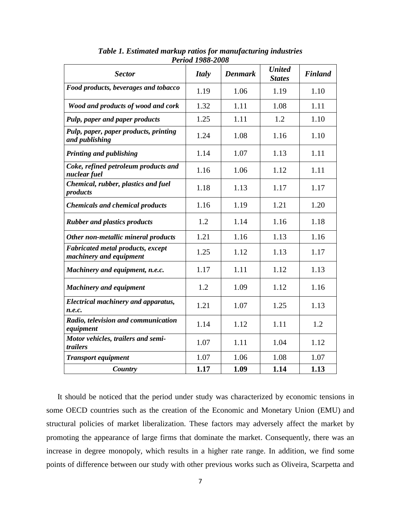| <b>Sector</b>                                                       | <b>Italy</b> | <b>Denmark</b> | <b>United</b><br><b>States</b> | <b>Finland</b> |
|---------------------------------------------------------------------|--------------|----------------|--------------------------------|----------------|
| Food products, beverages and tobacco                                | 1.19         | 1.06           | 1.19                           | 1.10           |
| Wood and products of wood and cork                                  | 1.32         | 1.11           | 1.08                           | 1.11           |
| Pulp, paper and paper products                                      | 1.25         | 1.11           | 1.2                            | 1.10           |
| Pulp, paper, paper products, printing<br>and publishing             | 1.24         | 1.08           | 1.16                           | 1.10           |
| <b>Printing and publishing</b>                                      | 1.14         | 1.07           | 1.13                           | 1.11           |
| Coke, refined petroleum products and<br>nuclear fuel                | 1.16         | 1.06           | 1.12                           | 1.11           |
| Chemical, rubber, plastics and fuel<br>products                     | 1.18         | 1.13           | 1.17                           | 1.17           |
| <b>Chemicals and chemical products</b>                              | 1.16         | 1.19           | 1.21                           | 1.20           |
| <b>Rubber and plastics products</b>                                 | 1.2          | 1.14           | 1.16                           | 1.18           |
| Other non-metallic mineral products                                 | 1.21         | 1.16           | 1.13                           | 1.16           |
| <b>Fabricated metal products, except</b><br>machinery and equipment | 1.25         | 1.12           | 1.13                           | 1.17           |
| Machinery and equipment, n.e.c.                                     | 1.17         | 1.11           | 1.12                           | 1.13           |
| <b>Machinery and equipment</b>                                      | 1.2          | 1.09           | 1.12                           | 1.16           |
| <b>Electrical machinery and apparatus,</b><br>n.e.c.                | 1.21         | 1.07           | 1.25                           | 1.13           |
| Radio, television and communication<br>equipment                    | 1.14         | 1.12           | 1.11                           | 1.2            |
| Motor vehicles, trailers and semi-<br>trailers                      | 1.07         | 1.11           | 1.04                           | 1.12           |
| <b>Transport equipment</b>                                          | 1.07         | 1.06           | 1.08                           | 1.07           |
| Country                                                             | 1.17         | 1.09           | 1.14                           | 1.13           |

*Table 1. Estimated markup ratios for manufacturing industries Period 1988-2008* 

It should be noticed that the period under study was characterized by economic tensions in some OECD countries such as the creation of the Economic and Monetary Union (EMU) and structural policies of market liberalization. These factors may adversely affect the market by promoting the appearance of large firms that dominate the market. Consequently, there was an increase in degree monopoly, which results in a higher rate range. In addition, we find some points of difference between our study with other previous works such as Oliveira, Scarpetta and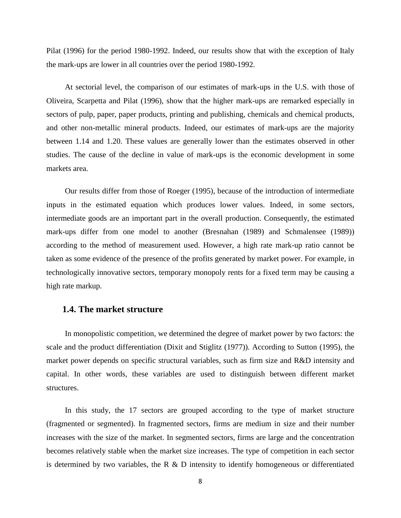Pilat (1996) for the period 1980-1992. Indeed, our results show that with the exception of Italy the mark-ups are lower in all countries over the period 1980-1992.

At sectorial level, the comparison of our estimates of mark-ups in the U.S. with those of Oliveira, Scarpetta and Pilat (1996), show that the higher mark-ups are remarked especially in sectors of pulp, paper, paper products, printing and publishing, chemicals and chemical products, and other non-metallic mineral products. Indeed, our estimates of mark-ups are the majority between 1.14 and 1.20. These values are generally lower than the estimates observed in other studies. The cause of the decline in value of mark-ups is the economic development in some markets area.

Our results differ from those of Roeger (1995), because of the introduction of intermediate inputs in the estimated equation which produces lower values. Indeed, in some sectors, intermediate goods are an important part in the overall production. Consequently, the estimated mark-ups differ from one model to another (Bresnahan (1989) and Schmalensee (1989)) according to the method of measurement used. However, a high rate mark-up ratio cannot be taken as some evidence of the presence of the profits generated by market power. For example, in technologically innovative sectors, temporary monopoly rents for a fixed term may be causing a high rate markup.

#### **1.4. The market structure**

In monopolistic competition, we determined the degree of market power by two factors: the scale and the product differentiation (Dixit and Stiglitz (1977)). According to Sutton (1995), the market power depends on specific structural variables, such as firm size and R&D intensity and capital. In other words, these variables are used to distinguish between different market structures.

In this study, the 17 sectors are grouped according to the type of market structure (fragmented or segmented). In fragmented sectors, firms are medium in size and their number increases with the size of the market. In segmented sectors, firms are large and the concentration becomes relatively stable when the market size increases. The type of competition in each sector is determined by two variables, the R  $\&$  D intensity to identify homogeneous or differentiated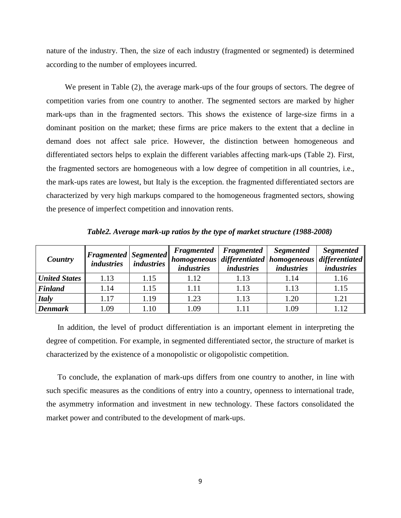nature of the industry. Then, the size of each industry (fragmented or segmented) is determined according to the number of employees incurred.

We present in Table (2), the average mark-ups of the four groups of sectors. The degree of competition varies from one country to another. The segmented sectors are marked by higher mark-ups than in the fragmented sectors. This shows the existence of large-size firms in a dominant position on the market; these firms are price makers to the extent that a decline in demand does not affect sale price. However, the distinction between homogeneous and differentiated sectors helps to explain the different variables affecting mark-ups (Table 2). First, the fragmented sectors are homogeneous with a low degree of competition in all countries, i.e., the mark-ups rates are lowest, but Italy is the exception. the fragmented differentiated sectors are characterized by very high markups compared to the homogeneous fragmented sectors, showing the presence of imperfect competition and innovation rents.

| Country              | $\left  \mathbf{F} \mathbf{r}$ are $\left  \mathbf{F} \mathbf{r} \right $ are $\left  \mathbf{F} \mathbf{r} \right $<br><i>industries</i> | industries | <b>Fragmented</b><br><i>industries</i> | <b>Fragmented</b><br><i>industries</i> | <b>Segmented</b><br>  homogeneous   differentiated   homogeneous   differentiated  <br><i>industries</i> | <i>Segmented</i><br><i>industries</i> |
|----------------------|-------------------------------------------------------------------------------------------------------------------------------------------|------------|----------------------------------------|----------------------------------------|----------------------------------------------------------------------------------------------------------|---------------------------------------|
| <b>United States</b> | 1.13                                                                                                                                      | 1.15       | 1.12                                   | 1.13                                   | 1.14                                                                                                     | 1.16                                  |
| <b>Finland</b>       | 1.14                                                                                                                                      | 1.15       | 1.11                                   | 1.13                                   | 1.13                                                                                                     | 1.15                                  |
| <b>Italy</b>         | 1.17                                                                                                                                      | 1.19       | 1.23                                   | 1.13                                   | 1.20                                                                                                     | 1.21                                  |
| <b>Denmark</b>       | 1.09                                                                                                                                      | 1.10       | 1.09                                   | 1.11                                   | 1.09                                                                                                     | 1.12                                  |

*Table2. Average mark-up ratios by the type of market structure (1988-2008)*

In addition, the level of product differentiation is an important element in interpreting the degree of competition. For example, in segmented differentiated sector, the structure of market is characterized by the existence of a monopolistic or oligopolistic competition.

To conclude, the explanation of mark-ups differs from one country to another, in line with such specific measures as the conditions of entry into a country, openness to international trade, the asymmetry information and investment in new technology. These factors consolidated the market power and contributed to the development of mark-ups.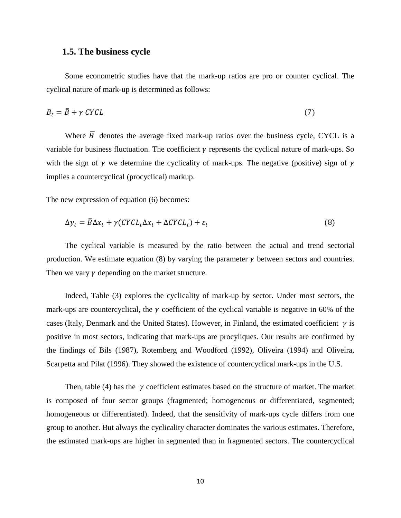#### **1.5. The business cycle**

Some econometric studies have that the mark-up ratios are pro or counter cyclical. The cyclical nature of mark-up is determined as follows:

$$
B_t = \bar{B} + \gamma \, CYCL \tag{7}
$$

Where  $\overline{B}$  denotes the average fixed mark-up ratios over the business cycle, CYCL is a variable for business fluctuation. The coefficient  $\gamma$  represents the cyclical nature of mark-ups. So with the sign of  $\gamma$  we determine the cyclicality of mark-ups. The negative (positive) sign of  $\gamma$ implies a countercyclical (procyclical) markup.

The new expression of equation (6) becomes:

$$
\Delta y_t = \bar{B}\Delta x_t + \gamma (CYCL_t \Delta x_t + \Delta CYCL_t) + \varepsilon_t \tag{8}
$$

The cyclical variable is measured by the ratio between the actual and trend sectorial production. We estimate equation (8) by varying the parameter  $\gamma$  between sectors and countries. Then we vary  $\gamma$  depending on the market structure.

Indeed, Table (3) explores the cyclicality of mark-up by sector. Under most sectors, the mark-ups are countercyclical, the  $\gamma$  coefficient of the cyclical variable is negative in 60% of the cases (Italy, Denmark and the United States). However, in Finland, the estimated coefficient  $\gamma$  is positive in most sectors, indicating that mark-ups are procyliques. Our results are confirmed by the findings of Bils (1987), Rotemberg and Woodford (1992), Oliveira (1994) and Oliveira, Scarpetta and Pilat (1996). They showed the existence of countercyclical mark-ups in the U.S.

Then, table (4) has the  $\gamma$  coefficient estimates based on the structure of market. The market is composed of four sector groups (fragmented; homogeneous or differentiated, segmented; homogeneous or differentiated). Indeed, that the sensitivity of mark-ups cycle differs from one group to another. But always the cyclicality character dominates the various estimates. Therefore, the estimated mark-ups are higher in segmented than in fragmented sectors. The countercyclical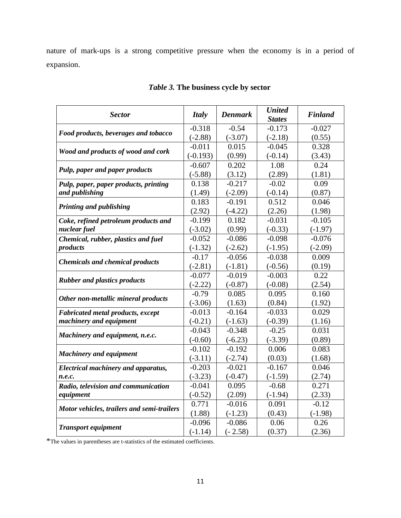nature of mark-ups is a strong competitive pressure when the economy is in a period of expansion.

| <b>Sector</b>                              | <b>Italy</b> | <b>Denmark</b> | <b>United</b><br><b>States</b> | <b>Finland</b> |
|--------------------------------------------|--------------|----------------|--------------------------------|----------------|
| Food products, beverages and tobacco       | $-0.318$     | $-0.54$        | $-0.173$                       | $-0.027$       |
|                                            | $(-2.88)$    | $(-3.07)$      | $(-2.18)$                      | (0.55)         |
| Wood and products of wood and cork         | $-0.011$     | 0.015          | $-0.045$                       | 0.328          |
|                                            | $(-0.193)$   | (0.99)         | $(-0.14)$                      | (3.43)         |
| Pulp, paper and paper products             | $-0.607$     | 0.202          | 1.08                           | 0.24           |
|                                            | $(-5.88)$    | (3.12)         | (2.89)                         | (1.81)         |
| Pulp, paper, paper products, printing      | 0.138        | $-0.217$       | $-0.02$                        | 0.09           |
| and publishing                             | (1.49)       | $(-2.09)$      | $(-0.14)$                      | (0.87)         |
| Printing and publishing                    | 0.183        | $-0.191$       | 0.512                          | 0.046          |
|                                            | (2.92)       | $(-4.22)$      | (2.26)                         | (1.98)         |
| Coke, refined petroleum products and       | $-0.199$     | 0.182          | $-0.031$                       | $-0.105$       |
| nuclear fuel                               | $(-3.02)$    | (0.99)         | $(-0.33)$                      | $(-1.97)$      |
| Chemical, rubber, plastics and fuel        | $-0.052$     | $-0.086$       | $-0.098$                       | $-0.076$       |
| products                                   | $(-1.32)$    | $(-2.62)$      | $(-1.95)$                      | $(-2.09)$      |
| <b>Chemicals and chemical products</b>     | $-0.17$      | $-0.056$       | $-0.038$                       | 0.009          |
|                                            | $(-2.81)$    | $(-1.81)$      | $(-0.56)$                      | (0.19)         |
| <b>Rubber and plastics products</b>        | $-0.077$     | $-0.019$       | $-0.003$                       | 0.22           |
|                                            | $(-2.22)$    | $(-0.87)$      | $(-0.08)$                      | (2.54)         |
| Other non-metallic mineral products        | $-0.79$      | 0.085          | 0.095                          | 0.160          |
|                                            | $(-3.06)$    | (1.63)         | (0.84)                         | (1.92)         |
| <b>Fabricated metal products, except</b>   | $-0.013$     | $-0.164$       | $-0.033$                       | 0.029          |
| machinery and equipment                    | $(-0.21)$    | $(-1.63)$      | $(-0.39)$                      | (1.16)         |
| Machinery and equipment, n.e.c.            | $-0.043$     | $-0.348$       | $-0.25$                        | 0.031          |
|                                            | $(-0.60)$    | $(-6.23)$      | $(-3.39)$                      | (0.89)         |
| <b>Machinery and equipment</b>             | $-0.102$     | $-0.192$       | 0.006                          | 0.083          |
|                                            | $(-3.11)$    | $(-2.74)$      | (0.03)                         | (1.68)         |
| <b>Electrical machinery and apparatus,</b> | $-0.203$     | $-0.021$       | $-0.167$                       | 0.046          |
| n.e.c.                                     | $(-3.23)$    | $(-0.47)$      | $(-1.59)$                      | (2.74)         |
| Radio, television and communication        | $-0.041$     | 0.095          | $-0.68$                        | 0.271          |
| equipment                                  | $(-0.52)$    | (2.09)         | $(-1.94)$                      | (2.33)         |
| Motor vehicles, trailers and semi-trailers | 0.771        | $-0.016$       | 0.091                          | $-0.12$        |
|                                            | (1.88)       | $(-1.23)$      | (0.43)                         | $(-1.98)$      |
| <b>Transport equipment</b>                 | $-0.096$     | $-0.086$       | 0.06                           | 0.26           |
|                                            | $(-1.14)$    | $(-2.58)$      | (0.37)                         | (2.36)         |

# *Table 3.* **The business cycle by sector**

\*The values in parentheses are t-statistics of the estimated coefficients.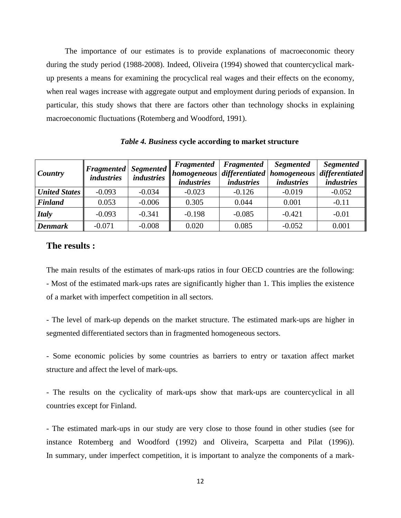The importance of our estimates is to provide explanations of macroeconomic theory during the study period (1988-2008). Indeed, Oliveira (1994) showed that countercyclical markup presents a means for examining the procyclical real wages and their effects on the economy, when real wages increase with aggregate output and employment during periods of expansion. In particular, this study shows that there are factors other than technology shocks in explaining macroeconomic fluctuations (Rotemberg and Woodford, 1991).

| Country              | $\ Fragmented\ $ Segmented $\ $<br><i>industries</i> | <i>industries</i> | Fragmented<br>   homogeneous   differentiated   homogeneous   <br><i>industries</i> | Fragmented<br><i>industries</i> | <b>Segmented</b><br><i>industries</i> | <b>Segmented</b><br>differentiated<br><i>industries</i> |
|----------------------|------------------------------------------------------|-------------------|-------------------------------------------------------------------------------------|---------------------------------|---------------------------------------|---------------------------------------------------------|
| <b>United States</b> | $-0.093$                                             | $-0.034$          | $-0.023$                                                                            | $-0.126$                        | $-0.019$                              | $-0.052$                                                |
| <b>Finland</b>       | 0.053                                                | $-0.006$          | 0.305                                                                               | 0.044                           | 0.001                                 | $-0.11$                                                 |
| <b>Italy</b>         | $-0.093$                                             | $-0.341$          | $-0.198$                                                                            | $-0.085$                        | $-0.421$                              | $-0.01$                                                 |
| <b>Denmark</b>       | $-0.071$                                             | $-0.008$          | 0.020                                                                               | 0.085                           | $-0.052$                              | 0.001                                                   |

*Table 4. Business* **cycle according to market structure**

#### **The results :**

The main results of the estimates of mark-ups ratios in four OECD countries are the following: - Most of the estimated mark-ups rates are significantly higher than 1. This implies the existence of a market with imperfect competition in all sectors.

- The level of mark-up depends on the market structure. The estimated mark-ups are higher in segmented differentiated sectors than in fragmented homogeneous sectors.

- Some economic policies by some countries as barriers to entry or taxation affect market structure and affect the level of mark-ups.

- The results on the cyclicality of mark-ups show that mark-ups are countercyclical in all countries except for Finland.

- The estimated mark-ups in our study are very close to those found in other studies (see for instance Rotemberg and Woodford (1992) and Oliveira, Scarpetta and Pilat (1996)). In summary, under imperfect competition, it is important to analyze the components of a mark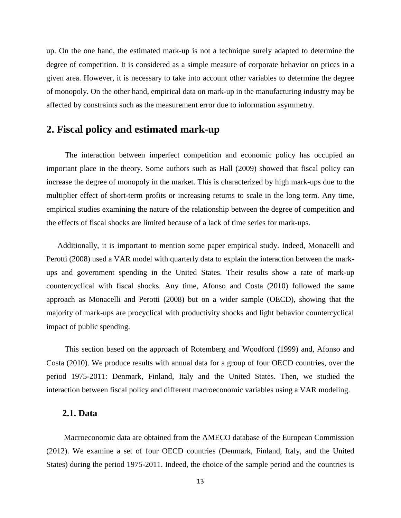up. On the one hand, the estimated mark-up is not a technique surely adapted to determine the degree of competition. It is considered as a simple measure of corporate behavior on prices in a given area. However, it is necessary to take into account other variables to determine the degree of monopoly. On the other hand, empirical data on mark-up in the manufacturing industry may be affected by constraints such as the measurement error due to information asymmetry.

# **2. Fiscal policy and estimated mark-up**

The interaction between imperfect competition and economic policy has occupied an important place in the theory. Some authors such as Hall (2009) showed that fiscal policy can increase the degree of monopoly in the market. This is characterized by high mark-ups due to the multiplier effect of short-term profits or increasing returns to scale in the long term. Any time, empirical studies examining the nature of the relationship between the degree of competition and the effects of fiscal shocks are limited because of a lack of time series for mark-ups.

Additionally, it is important to mention some paper empirical study. Indeed, Monacelli and Perotti (2008) used a VAR model with quarterly data to explain the interaction between the markups and government spending in the United States. Their results show a rate of mark-up countercyclical with fiscal shocks. Any time, Afonso and Costa (2010) followed the same approach as Monacelli and Perotti (2008) but on a wider sample (OECD), showing that the majority of mark-ups are procyclical with productivity shocks and light behavior countercyclical impact of public spending.

This section based on the approach of Rotemberg and Woodford (1999) and, Afonso and Costa (2010). We produce results with annual data for a group of four OECD countries, over the period 1975-2011: Denmark, Finland, Italy and the United States. Then, we studied the interaction between fiscal policy and different macroeconomic variables using a VAR modeling.

#### **2.1. Data**

 Macroeconomic data are obtained from the AMECO database of the European Commission (2012). We examine a set of four OECD countries (Denmark, Finland, Italy, and the United States) during the period 1975-2011. Indeed, the choice of the sample period and the countries is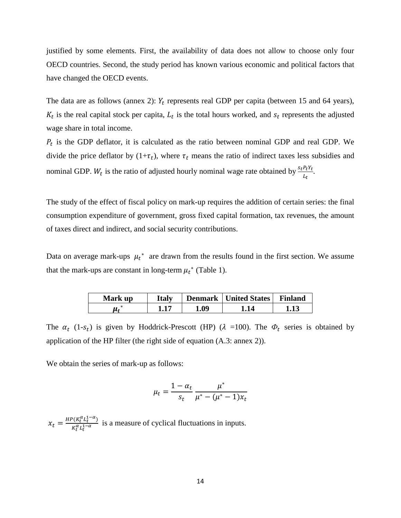justified by some elements. First, the availability of data does not allow to choose only four OECD countries. Second, the study period has known various economic and political factors that have changed the OECD events.

The data are as follows (annex 2):  $Y_t$  represents real GDP per capita (between 15 and 64 years),  $K_t$  is the real capital stock per capita,  $L_t$  is the total hours worked, and  $s_t$  represents the adjusted wage share in total income.

 $P_t$  is the GDP deflator, it is calculated as the ratio between nominal GDP and real GDP. We divide the price deflator by  $(1+\tau_t)$ , where  $\tau_t$  means the ratio of indirect taxes less subsidies and nominal GDP.  $W_t$  is the ratio of adjusted hourly nominal wage rate obtained by  $\frac{s_t P_t Y_t}{L_t}$ .

The study of the effect of fiscal policy on mark-up requires the addition of certain series: the final consumption expenditure of government, gross fixed capital formation, tax revenues, the amount of taxes direct and indirect, and social security contributions.

Data on average mark-ups  $\mu_t^*$  are drawn from the results found in the first section. We assume that the mark-ups are constant in long-term  $\mu_t^*$  (Table 1).

| Mark up | <b>Italy</b> |      | <b>Denmark</b>   United States | <b>Finland</b> |
|---------|--------------|------|--------------------------------|----------------|
|         |              | 1.09 | $\overline{14}$                |                |

The  $\alpha_t$  (1- $s_t$ ) is given by Hoddrick-Prescott (HP) ( $\lambda$  =100). The  $\Phi_t$  series is obtained by application of the HP filter (the right side of equation (A.3: annex 2)).

We obtain the series of mark-up as follows:

$$
\mu_t = \frac{1 - \alpha_t}{s_t} \frac{\mu^*}{\mu^* - (\mu^* - 1)x_t}
$$

 $x_t = \frac{HP(K_t^{\alpha}L_t^1)}{H^{\alpha}L_t^1}$  $\frac{(\mathbf{h}_t L_t)}{K_t^{\alpha} L_t^{1-\alpha}}$  is a measure of cyclical fluctuations in inputs.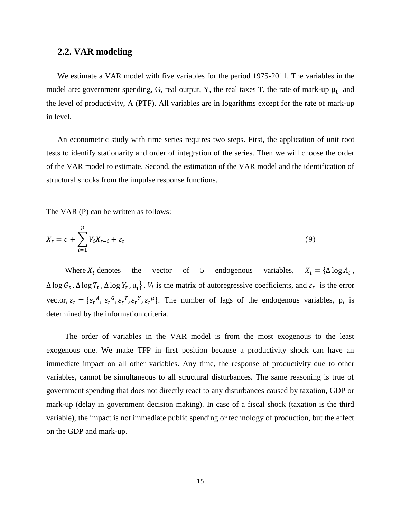#### **2.2. VAR modeling**

We estimate a VAR model with five variables for the period 1975-2011. The variables in the model are: government spending, G, real output, Y, the real taxes T, the rate of mark-up  $\mu_t$  and the level of productivity, A (PTF). All variables are in logarithms except for the rate of mark-up in level.

An econometric study with time series requires two steps. First, the application of unit root tests to identify stationarity and order of integration of the series. Then we will choose the order of the VAR model to estimate. Second, the estimation of the VAR model and the identification of structural shocks from the impulse response functions.

The VAR (P) can be written as follows:

$$
X_t = c + \sum_{i=1}^p V_i X_{t-i} + \varepsilon_t \tag{9}
$$

Where  $X_t$  denotes the vector of 5 endogenous variables,  $X_t = {\Delta \log A_t}$ ,  $\Delta \log G_t$ ,  $\Delta \log T_t$ ,  $\Delta \log Y_t$ ,  $\mu_t$ ,  $V_i$  is the matrix of autoregressive coefficients, and  $\varepsilon_t$  is the error vector,  $\varepsilon_t = \{\varepsilon_t^A$ ,  $\varepsilon_t^B$ ,  $\varepsilon_t^T$ ,  $\varepsilon_t^B$ ,  $\varepsilon_t^B$ . The number of lags of the endogenous variables, p, is determined by the information criteria.

The order of variables in the VAR model is from the most exogenous to the least exogenous one. We make TFP in first position because a productivity shock can have an immediate impact on all other variables. Any time, the response of productivity due to other variables, cannot be simultaneous to all structural disturbances. The same reasoning is true of government spending that does not directly react to any disturbances caused by taxation, GDP or mark-up (delay in government decision making). In case of a fiscal shock (taxation is the third variable), the impact is not immediate public spending or technology of production, but the effect on the GDP and mark-up.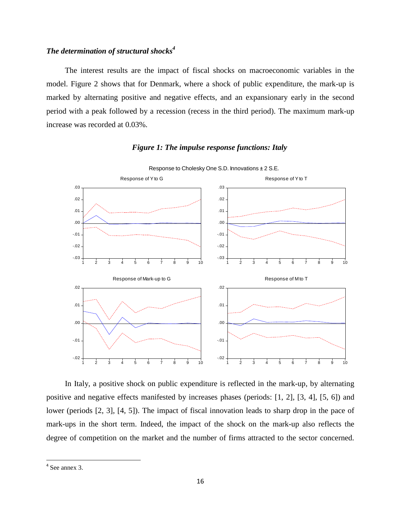#### *The determination of structural shocks<sup>4</sup>*

The interest results are the impact of fiscal shocks on macroeconomic variables in the model. Figure 2 shows that for Denmark, where a shock of public expenditure, the mark-up is marked by alternating positive and negative effects, and an expansionary early in the second period with a peak followed by a recession (recess in the third period). The maximum mark-up increase was recorded at 0.03%.

#### *Figure 1: The impulse response functions: Italy*



Response to Cholesky One S.D. Innovations ± 2 S.E.

In Italy, a positive shock on public expenditure is reflected in the mark-up, by alternating positive and negative effects manifested by increases phases (periods: [1, 2], [3, 4], [5, 6]) and lower (periods [2, 3], [4, 5]). The impact of fiscal innovation leads to sharp drop in the pace of mark-ups in the short term. Indeed, the impact of the shock on the mark-up also reflects the degree of competition on the market and the number of firms attracted to the sector concerned.

 4 See annex 3.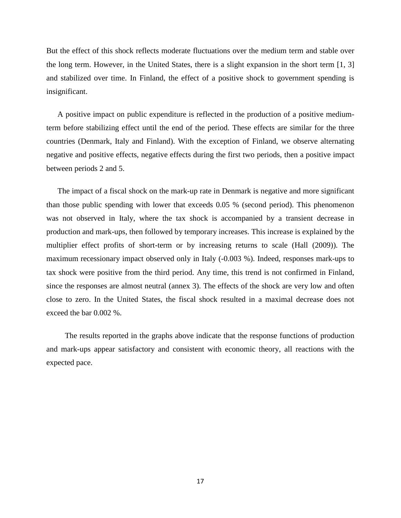But the effect of this shock reflects moderate fluctuations over the medium term and stable over the long term. However, in the United States, there is a slight expansion in the short term [1, 3] and stabilized over time. In Finland, the effect of a positive shock to government spending is insignificant.

A positive impact on public expenditure is reflected in the production of a positive mediumterm before stabilizing effect until the end of the period. These effects are similar for the three countries (Denmark, Italy and Finland). With the exception of Finland, we observe alternating negative and positive effects, negative effects during the first two periods, then a positive impact between periods 2 and 5.

The impact of a fiscal shock on the mark-up rate in Denmark is negative and more significant than those public spending with lower that exceeds 0.05 % (second period). This phenomenon was not observed in Italy, where the tax shock is accompanied by a transient decrease in production and mark-ups, then followed by temporary increases. This increase is explained by the multiplier effect profits of short-term or by increasing returns to scale (Hall (2009)). The maximum recessionary impact observed only in Italy (-0.003 %). Indeed, responses mark-ups to tax shock were positive from the third period. Any time, this trend is not confirmed in Finland, since the responses are almost neutral (annex 3). The effects of the shock are very low and often close to zero. In the United States, the fiscal shock resulted in a maximal decrease does not exceed the bar 0.002 %.

The results reported in the graphs above indicate that the response functions of production and mark-ups appear satisfactory and consistent with economic theory, all reactions with the expected pace.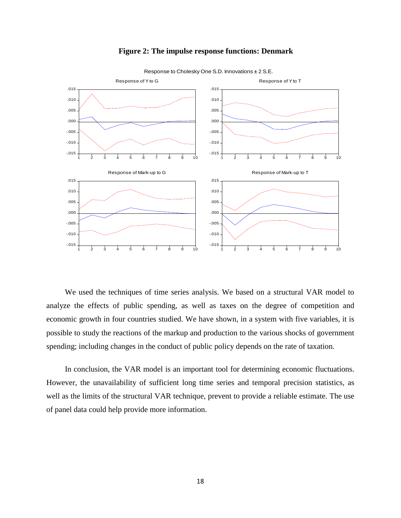

#### **Figure 2: The impulse response functions: Denmark**

Response to Cholesky One S.D. Innovations ± 2 S.E.

We used the techniques of time series analysis. We based on a structural VAR model to analyze the effects of public spending, as well as taxes on the degree of competition and economic growth in four countries studied. We have shown, in a system with five variables, it is possible to study the reactions of the markup and production to the various shocks of government spending; including changes in the conduct of public policy depends on the rate of taxation.

In conclusion, the VAR model is an important tool for determining economic fluctuations. However, the unavailability of sufficient long time series and temporal precision statistics, as well as the limits of the structural VAR technique, prevent to provide a reliable estimate. The use of panel data could help provide more information.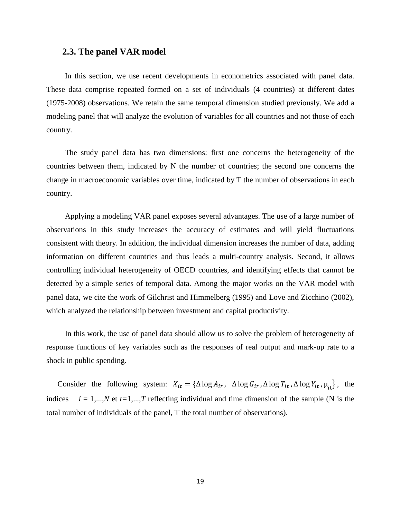#### **2.3. The panel VAR model**

In this section, we use recent developments in econometrics associated with panel data. These data comprise repeated formed on a set of individuals (4 countries) at different dates (1975-2008) observations. We retain the same temporal dimension studied previously. We add a modeling panel that will analyze the evolution of variables for all countries and not those of each country.

The study panel data has two dimensions: first one concerns the heterogeneity of the countries between them, indicated by N the number of countries; the second one concerns the change in macroeconomic variables over time, indicated by T the number of observations in each country.

Applying a modeling VAR panel exposes several advantages. The use of a large number of observations in this study increases the accuracy of estimates and will yield fluctuations consistent with theory. In addition, the individual dimension increases the number of data, adding information on different countries and thus leads a multi-country analysis. Second, it allows controlling individual heterogeneity of OECD countries, and identifying effects that cannot be detected by a simple series of temporal data. Among the major works on the VAR model with panel data, we cite the work of Gilchrist and Himmelberg (1995) and Love and Zicchino (2002), which analyzed the relationship between investment and capital productivity.

In this work, the use of panel data should allow us to solve the problem of heterogeneity of response functions of key variables such as the responses of real output and mark-up rate to a shock in public spending.

Consider the following system:  $X_{it} = {\Delta \log A_{it}}$ ,  $\Delta \log G_{it}$ ,  $\Delta \log T_{it}$ ,  $\Delta \log Y_{it}$ ,  $\mu_{it}$ , the indices  $i = 1,...,N$  et  $t=1,...,T$  reflecting individual and time dimension of the sample (N is the total number of individuals of the panel, T the total number of observations).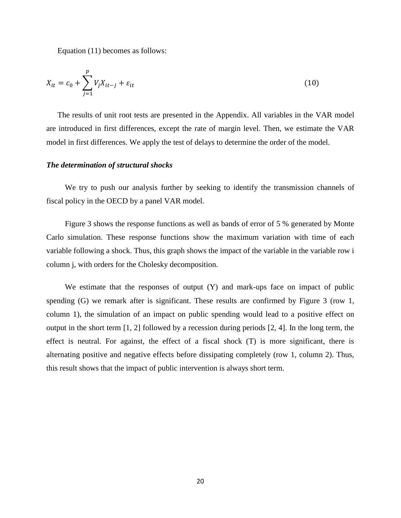Equation (11) becomes as follows:

$$
X_{it} = c_0 + \sum_{j=1}^{p} V_j X_{it-j} + \varepsilon_{it}
$$
 (10)

The results of unit root tests are presented in the Appendix. All variables in the VAR model are introduced in first differences, except the rate of margin level. Then, we estimate the VAR model in first differences. We apply the test of delays to determine the order of the model.

#### *The determination of structural shocks*

We try to push our analysis further by seeking to identify the transmission channels of fiscal policy in the OECD by a panel VAR model.

Figure 3 shows the response functions as well as bands of error of 5 % generated by Monte Carlo simulation. These response functions show the maximum variation with time of each variable following a shock. Thus, this graph shows the impact of the variable in the variable row i column j, with orders for the Cholesky decomposition.

We estimate that the responses of output (Y) and mark-ups face on impact of public spending (G) we remark after is significant. These results are confirmed by Figure 3 (row 1, column 1), the simulation of an impact on public spending would lead to a positive effect on output in the short term [1, 2] followed by a recession during periods [2, 4]. In the long term, the effect is neutral. For against, the effect of a fiscal shock (T) is more significant, there is alternating positive and negative effects before dissipating completely (row 1, column 2). Thus, this result shows that the impact of public intervention is always short term.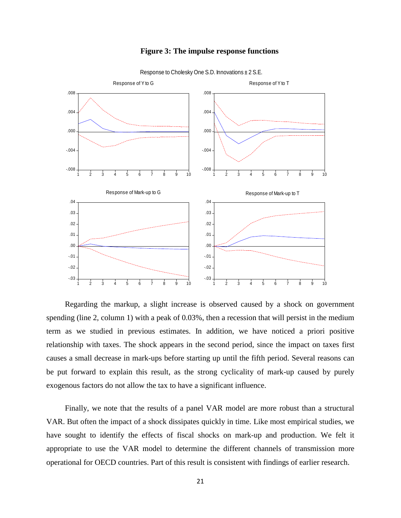



Response to Cholesky One S.D. Innovations ± 2 S.E.

Regarding the markup, a slight increase is observed caused by a shock on government spending (line 2, column 1) with a peak of 0.03%, then a recession that will persist in the medium term as we studied in previous estimates. In addition, we have noticed a priori positive relationship with taxes. The shock appears in the second period, since the impact on taxes first causes a small decrease in mark-ups before starting up until the fifth period. Several reasons can be put forward to explain this result, as the strong cyclicality of mark-up caused by purely exogenous factors do not allow the tax to have a significant influence.

Finally, we note that the results of a panel VAR model are more robust than a structural VAR. But often the impact of a shock dissipates quickly in time. Like most empirical studies, we have sought to identify the effects of fiscal shocks on mark-up and production. We felt it appropriate to use the VAR model to determine the different channels of transmission more operational for OECD countries. Part of this result is consistent with findings of earlier research.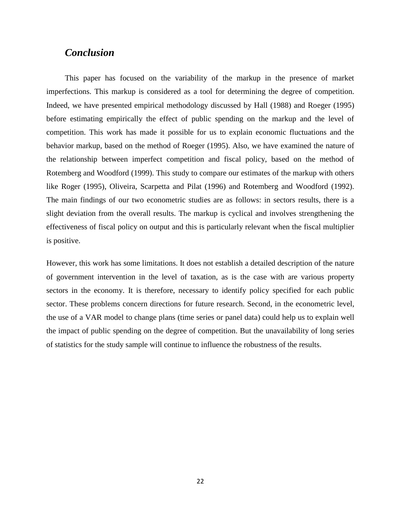# *Conclusion*

This paper has focused on the variability of the markup in the presence of market imperfections. This markup is considered as a tool for determining the degree of competition. Indeed, we have presented empirical methodology discussed by Hall (1988) and Roeger (1995) before estimating empirically the effect of public spending on the markup and the level of competition. This work has made it possible for us to explain economic fluctuations and the behavior markup, based on the method of Roeger (1995). Also, we have examined the nature of the relationship between imperfect competition and fiscal policy, based on the method of Rotemberg and Woodford (1999). This study to compare our estimates of the markup with others like Roger (1995), Oliveira, Scarpetta and Pilat (1996) and Rotemberg and Woodford (1992). The main findings of our two econometric studies are as follows: in sectors results, there is a slight deviation from the overall results. The markup is cyclical and involves strengthening the effectiveness of fiscal policy on output and this is particularly relevant when the fiscal multiplier is positive.

However, this work has some limitations. It does not establish a detailed description of the nature of government intervention in the level of taxation, as is the case with are various property sectors in the economy. It is therefore, necessary to identify policy specified for each public sector. These problems concern directions for future research. Second, in the econometric level, the use of a VAR model to change plans (time series or panel data) could help us to explain well the impact of public spending on the degree of competition. But the unavailability of long series of statistics for the study sample will continue to influence the robustness of the results.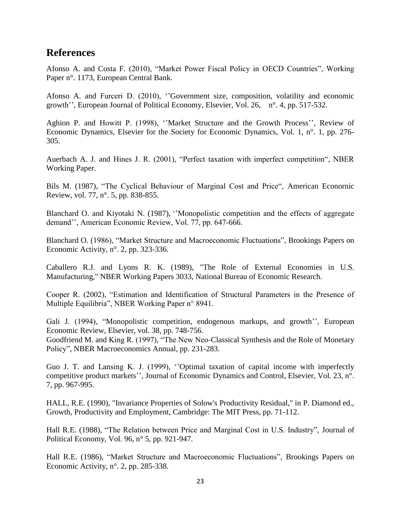# **References**

Afonso A. and Costa F. (2010), "Market Power Fiscal Policy in OECD Countries", Working Paper n°. 1173, European Central Bank.

Afonso A. and Furceri D. (2010), '['Government size, composition, volatility and economic](http://ideas.repec.org/a/eee/poleco/v26y2010i4p517-532.html)  [growth'](http://ideas.repec.org/a/eee/poleco/v26y2010i4p517-532.html)', [European Journal of Political Economy,](http://ideas.repec.org/s/eee/poleco.html) Elsevier, Vol. 26, n°. 4, pp. 517-532.

Aghion P. and Howitt P. (1998), '['Market Structure and the Growth Process'](http://ideas.repec.org/a/red/issued/v1y1998i1p276-305.html)', [Review of](http://ideas.repec.org/s/red/issued.html)  [Economic Dynamics,](http://ideas.repec.org/s/red/issued.html) Elsevier for the Society for Economic Dynamics, Vol. 1, n°. 1, pp. 276- 305.

Auerbach A. J. and Hines J. R. (2001), "Perfect taxation with imperfect competition", NBER Working Paper.

Bils M. (1987), "The Cyclical Behaviour of Marginal Cost and Price", American Econornic Review, vol. 77, n°. 5, pp. 838-855.

Blanchard O. and Kiyotaki N. (1987), ''Monopolistic competition and the effects of aggregate demand'', American Economic Review, Vol. 77, pp. 647-666.

Blanchard O. (1986), "Market Structure and Macroeconomic Fluctuations", Brookings Papers on Economic Activity, n°. 2, pp. 323-336.

Caballero R.J. and Lyons R. K. (1989), ["The Role of External Economies in U.S.](http://ideas.repec.org/p/nbr/nberwo/3033.html)  [Manufacturing,](http://ideas.repec.org/p/nbr/nberwo/3033.html)" [NBER Working Papers](http://ideas.repec.org/s/nbr/nberwo.html) 3033, National Bureau of Economic Research.

Cooper R. (2002), "Estimation and Identification of Structural Parameters in the Presence of Multiple Equilibria", NBER Working Paper n° 8941.

Gali J. (1994), ["Monopolistic competition, endogenous markups, and growth'](http://ideas.repec.org/a/eee/eecrev/v38y1994i3-4p748-756.html)', [European](http://ideas.repec.org/s/eee/eecrev.html)  [Economic Review,](http://ideas.repec.org/s/eee/eecrev.html) Elsevier, vol. 38, pp. 748-756.

Goodfriend M. and King R. (1997), "The New Neo-Classical Synthesis and the Role of Monetary Policy", NBER Macroeconomics Annual, pp. 231-283.

Guo J. T. and Lansing K. J. (1999), '['Optimal taxation of capital income with imperfectly](http://ideas.repec.org/a/eee/dyncon/v23y1999i7p967-995.html)  [competitive product markets'](http://ideas.repec.org/a/eee/dyncon/v23y1999i7p967-995.html)', [Journal of Economic Dynamics and Control,](http://ideas.repec.org/s/eee/dyncon.html) Elsevier, Vol. 23, n°. 7, pp. 967-995.

HALL, R.E. (1990), "Invariance Properties of Solow's Productivity Residual," in P. Diamond ed., Growth, Productivity and Employment, Cambridge: The MIT Press, pp. 71-112.

Hall R.E. (1988), "The Relation between Price and Marginal Cost in U.S. Industry", Journal of Political Economy, Vol. 96, n° 5, pp. 921-947.

Hall R.E. (1986), "Market Structure and Macroeconomic Fluctuations", Brookings Papers on Economic Activity, n°. 2, pp. 285-338.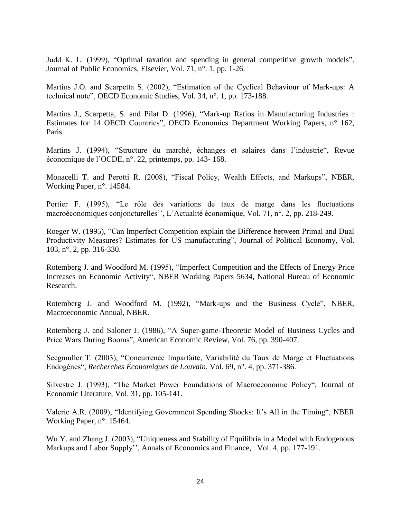Judd K. L. (1999), ["Optimal taxation and spending in general competitive growth models"](http://ideas.repec.org/a/eee/pubeco/v71y1999i1p1-26.html), [Journal of Public Economics,](http://ideas.repec.org/s/eee/pubeco.html) Elsevier, Vol. 71, n°. 1, pp. 1-26.

Martins J.O. and Scarpetta S. (2002), "Estimation of the Cyclical Behaviour of Mark-ups: A technical note", OECD Economic Studies, Vol. 34, n°. 1, pp. 173-188.

Martins J., Scarpetta, S. and Pilat D. (1996), "Mark-up Ratios in Manufacturing Industries : Estimates for 14 OECD Countries", OECD Economics Department Working Papers, n° 162, Paris.

Martins J. (1994), "Structure du marché, échanges et salaires dans l'industrie", Revue économique de l'OCDE, n°. 22, printemps, pp. 143- 168.

Monacelli T. and Perotti R. (2008), "Fiscal Policy, Wealth Effects, and Markups", NBER, Working Paper, n°. 14584.

Portier F. (1995), "Le rôle des variations de taux de marge dans les fluctuations macroéconomiques conjoncturelles'', L'Actualité économique, Vol. 71, n°. 2, [pp. 218-249.](http://econpapers.repec.org/RePEc:ris:actuec:v:71:y:1995:i:2:p:218-249)

Roeger W. (1995), "Can lmperfect Competition explain the Difference between Primal and Dual Productivity Measures? Estimates for US manufacturing", Journal of Political Economy, Vol. 103, n°. 2, pp. 316-330.

Rotemberg J. and Woodford M. (1995), ["Imperfect Competition and the Effects of Energy Price](http://ideas.repec.org/p/nbr/nberwo/5634.html)  [Increases on Economic Activity"](http://ideas.repec.org/p/nbr/nberwo/5634.html), [NBER Working Papers](http://ideas.repec.org/s/nbr/nberwo.html) 5634, National Bureau of Economic Research.

Rotemberg J. and Woodford M. (1992), "Mark-ups and the Business Cycle", NBER, Macroeconomic Annual, NBER.

Rotemberg J. and Saloner J. (1986), "A Super-game-Theoretic Model of Business Cycles and Price Wars During Booms", American Economic Review, Vol. 76, pp. 390-407.

Seegmuller T. (2003), "Concurrence Imparfaite, Variabilité du Taux de Marge et Fluctuations Endogènes", *Recherches Économiques de Louvain,* Vol. 69, n°. 4, pp. 371-386.

Silvestre J. (1993), "The Market Power Foundations of Macroeconomic Policy", Journal of Economic Literature, Vol. 31, pp. 105-141.

Valerie A.R. (2009), "Identifying Government Spending Shocks: It's All in the Timing", NBER Working Paper, n°. 15464.

Wu Y. and Zhang J. (2003), "Uniqueness and Stability of Equilibria in a Model with Endogenous Markups and Labor Supply'', [Annals of Economics and Finance,](http://ideas.repec.org/s/cuf/journl.html) Vol. 4, pp. 177-191.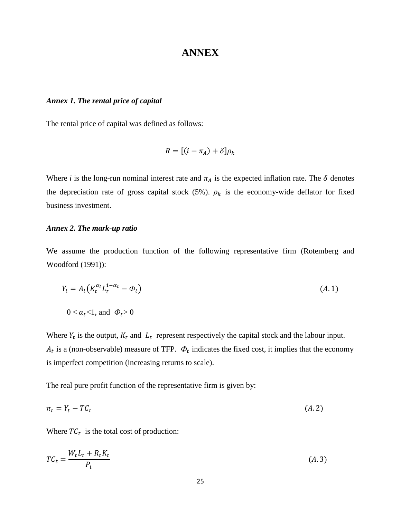# **ANNEX**

#### *Annex 1. The rental price of capital*

The rental price of capital was defined as follows:

$$
R = [(i - \pi_A) + \delta] \rho_k
$$

Where *i* is the long-run nominal interest rate and  $\pi_A$  is the expected inflation rate. The  $\delta$  denotes the depreciation rate of gross capital stock (5%).  $\rho_k$  is the economy-wide deflator for fixed business investment.

#### *Annex 2. The mark-up ratio*

We assume the production function of the following representative firm (Rotemberg and Woodford (1991)):

$$
Y_t = A_t \left( K_t^{\alpha_t} L_t^{1 - \alpha_t} - \Phi_t \right) \tag{A.1}
$$

$$
0 < \alpha_t < 1
$$
, and  $\Phi_t > 0$ 

Where  $Y_t$  is the output,  $K_t$  and  $L_t$  represent respectively the capital stock and the labour input.  $A_t$  is a (non-observable) measure of TFP.  $\Phi_t$  indicates the fixed cost, it implies that the economy is imperfect competition (increasing returns to scale).

The real pure profit function of the representative firm is given by:

$$
\pi_t = Y_t - T C_t \tag{A.2}
$$

Where  $TC_t$  is the total cost of production:

$$
TC_t = \frac{W_t L_t + R_t K_t}{P_t} \tag{A.3}
$$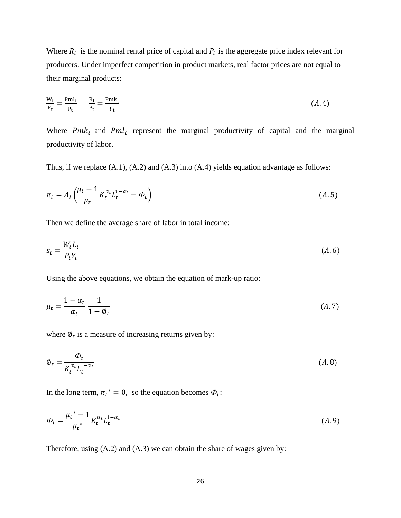Where  $R_t$  is the nominal rental price of capital and  $P_t$  is the aggregate price index relevant for producers. Under imperfect competition in product markets, real factor prices are not equal to their marginal products:

$$
\frac{W_t}{P_t} = \frac{Pm l_t}{\mu_t} \qquad \frac{R_t}{P_t} = \frac{Pm k_t}{\mu_t}
$$
\n
$$
(A.4)
$$

Where  $Pmk_t$  and  $Pml_t$  represent the marginal productivity of capital and the marginal productivity of labor.

Thus, if we replace (A.1), (A.2) and (A.3) into (A.4) yields equation advantage as follows:

$$
\pi_t = A_t \left( \frac{\mu_t - 1}{\mu_t} K_t^{\alpha_t} L_t^{1 - \alpha_t} - \Phi_t \right) \tag{A.5}
$$

Then we define the average share of labor in total income:

$$
s_t = \frac{W_t L_t}{P_t Y_t} \tag{A.6}
$$

Using the above equations, we obtain the equation of mark-up ratio:

$$
\mu_t = \frac{1 - \alpha_t}{\alpha_t} \frac{1}{1 - \phi_t} \tag{A.7}
$$

where  $\varphi_t$  is a measure of increasing returns given by:

$$
\phi_t = \frac{\phi_t}{K_t^{\alpha_t} L_t^{1-\alpha_t}} \tag{A.8}
$$

In the long term,  $\pi_t^* = 0$ , so the equation becomes  $\Phi_t$ .

$$
\Phi_t = \frac{\mu_t^* - 1}{\mu_t^*} K_t^{\alpha_t} L_t^{1 - \alpha_t}
$$
\n(A.9)

Therefore, using (A.2) and (A.3) we can obtain the share of wages given by: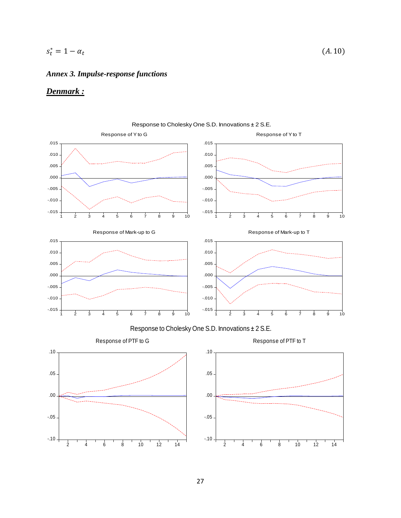#### $s_t^*$

# *Annex 3. Impulse-response functions*

# *Denmark :*



Response to Cholesky One S.D. Innovations ± 2 S.E.

 $(A. 10)$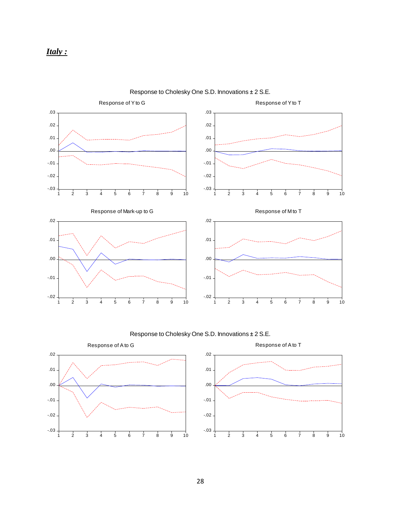

Response to Cholesky One S.D. Innovations ± 2 S.E.

Response to Cholesky One S.D. Innovations ± 2 S.E.



Response of Ato T



28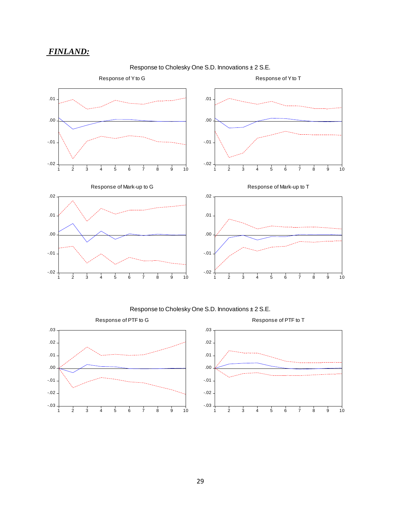# *FINLAND:*



#### Response to Cholesky One S.D. Innovations ± 2 S.E.



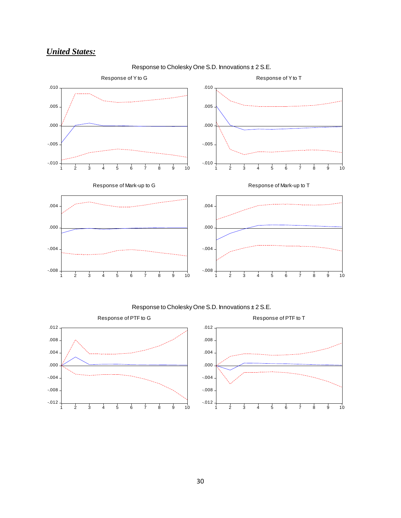# *United States:*



Response to Cholesky One S.D. Innovations ± 2 S.E.